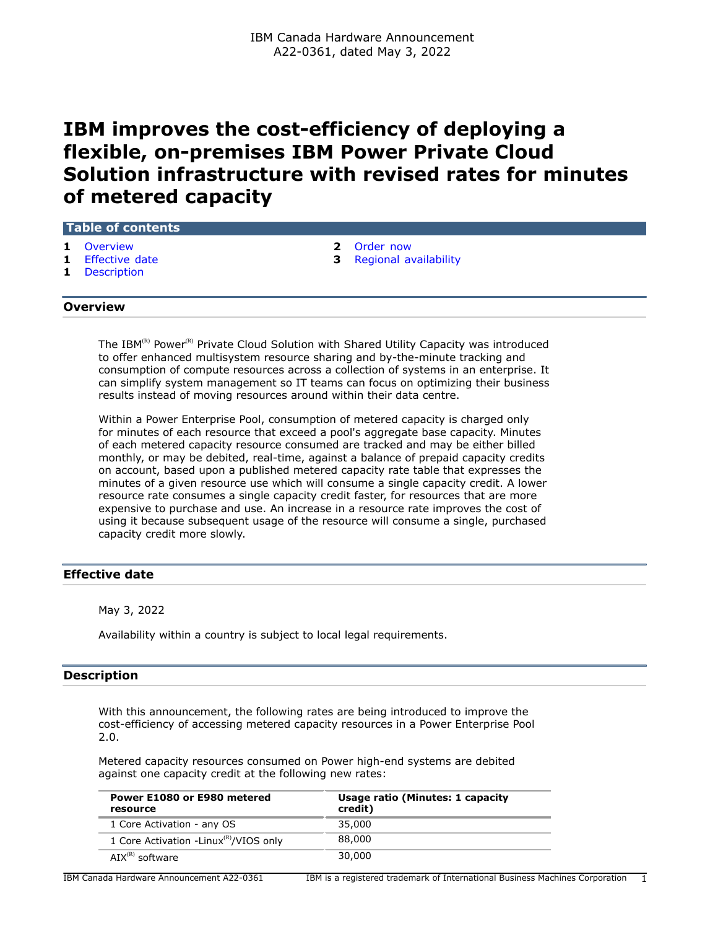# **IBM improves the cost-efficiency of deploying a flexible, on-premises IBM Power Private Cloud Solution infrastructure with revised rates for minutes of metered capacity**

| <b>Table of contents</b> |            |  |  |
|--------------------------|------------|--|--|
|                          | 1 Overview |  |  |

- 
- **1** [Description](#page-0-2)

**2** [Order now](#page-1-0)

**1** [Effective date](#page-0-1) **3** [Regional availability](#page-2-0)

## <span id="page-0-0"></span>**Overview**

The IBM<sup>(R)</sup> Power<sup>(R)</sup> Private Cloud Solution with Shared Utility Capacity was introduced to offer enhanced multisystem resource sharing and by-the-minute tracking and consumption of compute resources across a collection of systems in an enterprise. It can simplify system management so IT teams can focus on optimizing their business results instead of moving resources around within their data centre.

Within a Power Enterprise Pool, consumption of metered capacity is charged only for minutes of each resource that exceed a pool's aggregate base capacity. Minutes of each metered capacity resource consumed are tracked and may be either billed monthly, or may be debited, real-time, against a balance of prepaid capacity credits on account, based upon a published metered capacity rate table that expresses the minutes of a given resource use which will consume a single capacity credit. A lower resource rate consumes a single capacity credit faster, for resources that are more expensive to purchase and use. An increase in a resource rate improves the cost of using it because subsequent usage of the resource will consume a single, purchased capacity credit more slowly.

# <span id="page-0-1"></span>**Effective date**

May 3, 2022

Availability within a country is subject to local legal requirements.

#### <span id="page-0-2"></span>**Description**

With this announcement, the following rates are being introduced to improve the cost-efficiency of accessing metered capacity resources in a Power Enterprise Pool 2.0.

Metered capacity resources consumed on Power high-end systems are debited against one capacity credit at the following new rates:

| Power E1080 or E980 metered<br>resource            | Usage ratio (Minutes: 1 capacity<br>credit) |
|----------------------------------------------------|---------------------------------------------|
| 1 Core Activation - any OS                         | 35,000                                      |
| 1 Core Activation -Linux <sup>(R)</sup> /VIOS only | 88,000                                      |
| $AY^{(R)}$ software                                | 30,000                                      |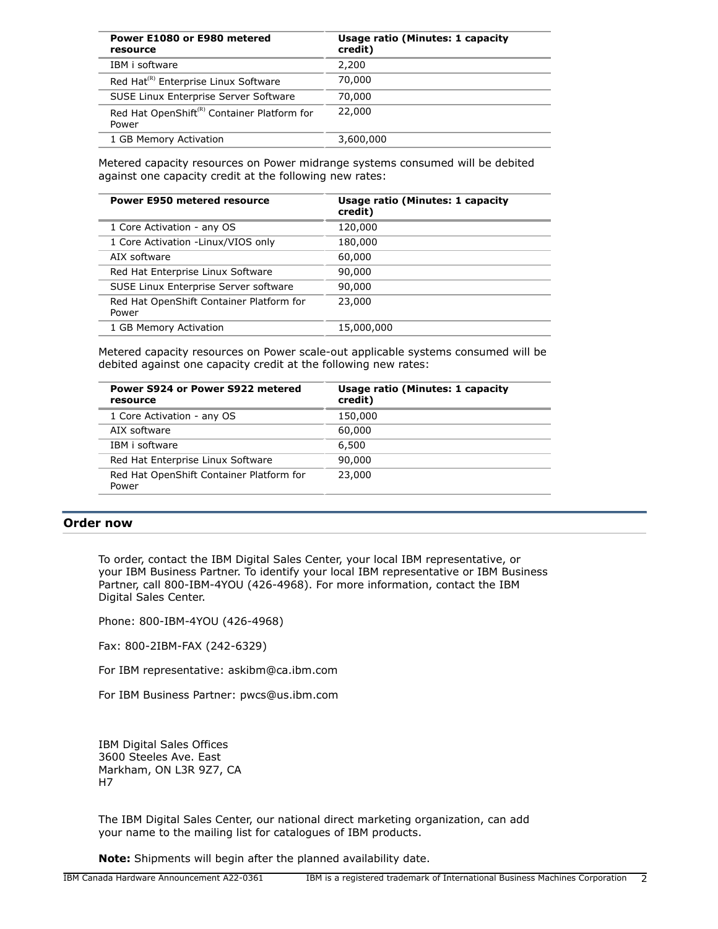| Power E1080 or E980 metered<br>resource                          | <b>Usage ratio (Minutes: 1 capacity</b><br>credit) |
|------------------------------------------------------------------|----------------------------------------------------|
| IBM i software                                                   | 2,200                                              |
| Red Hat <sup>(R)</sup> Enterprise Linux Software                 | 70,000                                             |
| SUSE Linux Enterprise Server Software                            | 70,000                                             |
| Red Hat OpenShift <sup>(R)</sup> Container Platform for<br>Power | 22,000                                             |
| 1 GB Memory Activation                                           | 3,600,000                                          |

Metered capacity resources on Power midrange systems consumed will be debited against one capacity credit at the following new rates:

| <b>Power E950 metered resource</b>                | <b>Usage ratio (Minutes: 1 capacity</b><br>credit) |
|---------------------------------------------------|----------------------------------------------------|
| 1 Core Activation - any OS                        | 120,000                                            |
| 1 Core Activation -Linux/VIOS only                | 180,000                                            |
| AIX software                                      | 60,000                                             |
| Red Hat Enterprise Linux Software                 | 90,000                                             |
| SUSE Linux Enterprise Server software             | 90,000                                             |
| Red Hat OpenShift Container Platform for<br>Power | 23,000                                             |
| 1 GB Memory Activation                            | 15,000,000                                         |

Metered capacity resources on Power scale-out applicable systems consumed will be debited against one capacity credit at the following new rates:

| Usage ratio (Minutes: 1 capacity<br>credit) |
|---------------------------------------------|
| 150,000                                     |
| 60,000                                      |
| 6,500                                       |
| 90,000                                      |
| 23,000                                      |
|                                             |

#### <span id="page-1-0"></span>**Order now**

To order, contact the IBM Digital Sales Center, your local IBM representative, or your IBM Business Partner. To identify your local IBM representative or IBM Business Partner, call 800-IBM-4YOU (426-4968). For more information, contact the IBM Digital Sales Center.

Phone: 800-IBM-4YOU (426-4968)

Fax: 800-2IBM-FAX (242-6329)

For IBM representative: askibm@ca.ibm.com

For IBM Business Partner: pwcs@us.ibm.com

IBM Digital Sales Offices 3600 Steeles Ave. East Markham, ON L3R 9Z7, CA H7

The IBM Digital Sales Center, our national direct marketing organization, can add your name to the mailing list for catalogues of IBM products.

**Note:** Shipments will begin after the planned availability date.